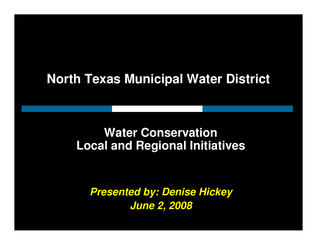#### **North Texas Municipal Water District**

#### **Water ConservationLocal and Regional Initiatives**

**Presented by: Denise HickeyJune 2, 2008**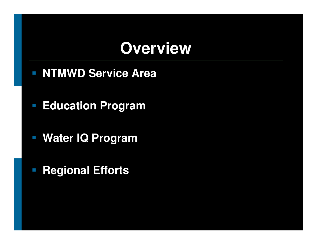### **Overview**

- **NTMWD Service Area**
- $\mathcal{L}_{\mathcal{A}}$ **Education Program**
- $\mathbb{R}^3$ **Water IQ Program**
- **Regional Efforts**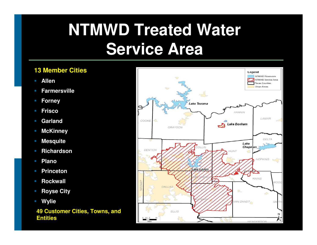# **NTMWD Treated Water Service Area**

#### **13 Member Cities**

- **Allen**
- **Farmersville**
- **Forney**
- **Frisco**
- **Garland**
- **McKinney**
- **Mesquite**
- **Richardson**
- **Plano**
- **Princeton**
- $\mathcal{L}_{\mathcal{A}}$ **Rockwall**
- **Royse City**
- **Wylie**

**49 Customer Cities, Towns, and Entities**

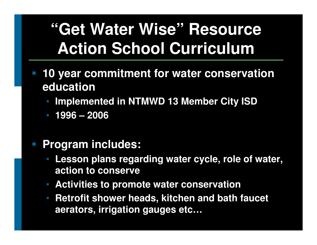# **"Get Water Wise" Resource Action School Curriculum**

- **10 year commitment for water conservation education**
	- **Implemented in NTMWD 13 Member City ISD**•
	- **1996 – <sup>2006</sup>**

#### $\mathbb{R}^n$ **Program includes:**

- • **Lesson plans regarding water cycle, role of water, action to conserve**
- •**Activities to promote water conservation**
- **Retrofit shower heads, kitchen and bath faucet aerators, irrigation gauges etc…**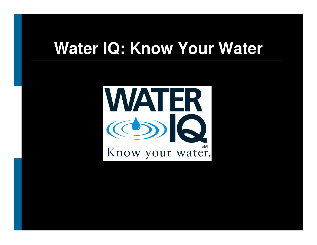### **Water IQ: Know Your Water**

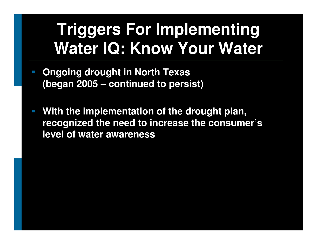# **Triggers For Implementing Water IQ: Know Your Water**

- **Ongoing drought in North Texas (began 2005 – continued to persist)**
- **With the implementation of the drought plan, recognized the need to increase the consumer's level of water awareness**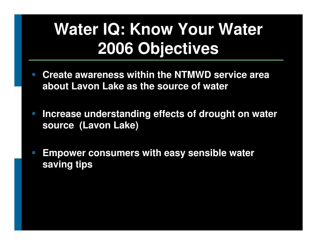# **Water IQ: Know Your Water 2006 Objectives**

- **Create awareness within the NTMWD service area about Lavon Lake as the source of water**
- $\mathbb{R}^2$  **Increase understanding effects of drought on water source (Lavon Lake)**
- and the state of the state of the state of the state of the state of the state of the state of the state of th **Empower consumers with easy sensible water saving tips**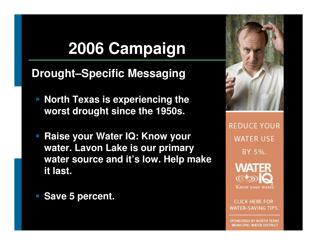# **2006 Campaign**

#### **Drought–Specific Messaging**

- $\Box$  **North Texas is experiencing the worst drought since the 1950s.**
- $\Box$  **Raise your Water IQ: Know your water. Lavon Lake is our primary water source and it's low. Help make it last.**
- **Save 5 percent.**



**REDUCE YOUR WATER USE** BY 5%.

> **WATER**  $\infty$ Know your water.

**CLICK HERE FOR WATER-SAVING TIPS.** 

**SPONSORED BY NORTH TEXAS** MUNICIPAL WATER DISTRICT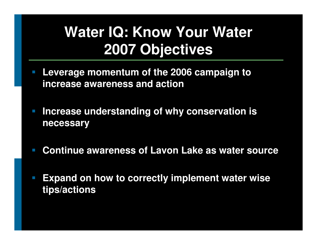### **Water IQ: Know Your Water 2007 Objectives**

- $\mathbb{R}^n$  **Leverage momentum of the 2006 campaign to increase awareness and action**
- $\mathbb{R}^n$  **Increase understanding of why conservation is necessary**
- $\mathbb{R}^n$ **Continue awareness of Lavon Lake as water source**
- $\mathbb{R}^n$  **Expand on how to correctly implement water wise tips/actions**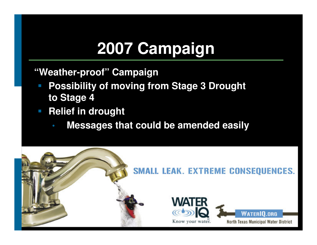# **2007 Campaign**

**"Weather-proof" Campaign**

- **Possibility of moving from Stage 3 Drought to Stage 4**
- $\mathcal{L}_{\mathcal{A}}$  **Relief in drought** 
	- $\bullet$ **Messages that could be amended easily**

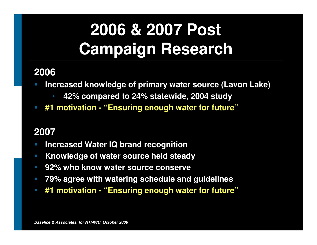# **2006 & 2007 Post Campaign Research**

#### **2006**

- **Increased knowledge of primary water source (Lavon Lake) Service Service** 
	- •**42% compared to 24% statewide, 2004 study**
- **#1 motivation - "Ensuring enough water for future"** $\Box$

#### **2007**

- **Increased Water IQ brand recognition**  $\overline{\phantom{a}}$
- **Knowledge of water source held steady**   $\mathcal{L}_{\mathcal{A}}$
- $\left\vert \cdot \right\vert$ **92% who know water source conserve**
- $\overline{\mathbb{R}^2}$ **79% agree with watering schedule and guidelines**
- $\mathbb{R}^n$ **#1 motivation - "Ensuring enough water for future"**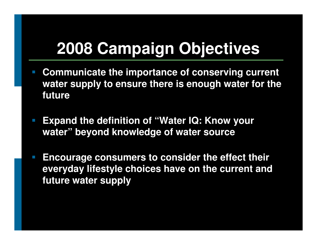## **2008 Campaign Objectives**

- **Communicate the importance of conserving current water supply to ensure there is enough water for the future**
- $\mathbb{R}^n$  **Expand the definition of "Water IQ: Know your water" beyond knowledge of water source**
- **Encourage consumers to consider the effect their everyday lifestyle choices have on the current and future water supply**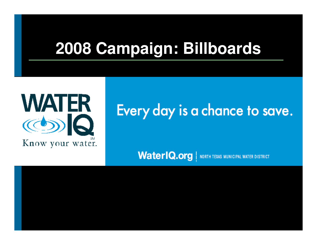## **2008 Campaign: Billboards**



### Every day is a chance to save.

**WaterIQ.org** | NORTH TEXAS MUNICIPAL WATER DISTRICT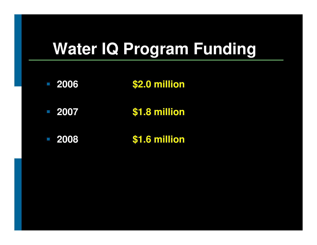## **Water IQ Program Funding**

- $\overline{\phantom{a}}$  **<sup>2006</sup>\$2.0 million**
- $\overline{\phantom{a}}$  **<sup>2007</sup>\$1.8 million**
- $\overline{\mathbb{R}}$ **2008 \$1.6 million**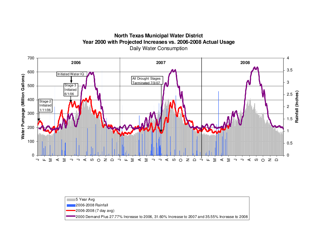**North Texas Municipal Water District Year 2000 with Projected Increases vs. 2006-2008 Actual Usage**Daily Water Consumption



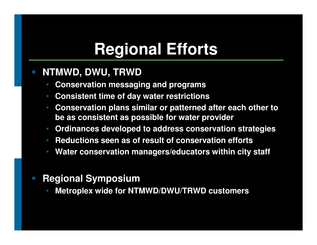# **Regional Efforts**

#### $\mathcal{L}_{\mathcal{A}}$ **NTMWD, DWU, TRWD**

- •**Conservation messaging and programs**
- **Consistent time of day water restrictions**
- • **Conservation plans similar or patterned after each other to be as consistent as possible for water provider**
- **Ordinances developed to address conservation strategies**
- •**• Reductions seen as of result of conservation efforts**
- •**Water conservation managers/educators within city staff**

#### $\mathbb{R}^n$ **Regional Symposium**

 **Metroplex wide for NTMWD/DWU/TRWD customers**•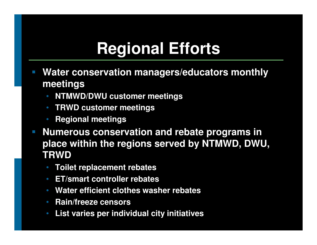# **Regional Efforts**

- **Water conservation managers/educators monthly meetings**
	- **NTMWD/DWU customer meetings**•
	- **TRWD customer meetings**
	- •**Regional meetings**
- $\mathcal{L}_{\mathcal{A}}$  **Numerous conservation and rebate programs in place within the regions served by NTMWD, DWU, TRWD** 
	- **Toilet replacement rebates**
	- **ET/smart controller rebates**
	- **Water efficient clothes washer rebates**
	- **Rain/freeze censors**
	- **List varies per individual city initiatives**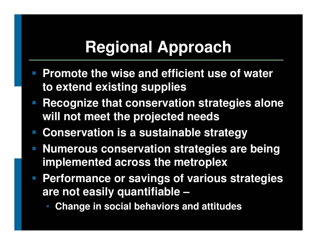## **Regional Approach**

- **Promote the wise and efficient use of water to extend existing supplies**
- **Recognize that conservation strategies alone will not meet the projected needs**
- **Conservation is a sustainable strategy**
- **Numerous conservation strategies are being implemented across the metroplex**
- **Performance or savings of various strategies are not easily quantifiable –**
	- **Change in social behaviors and attitudes**•